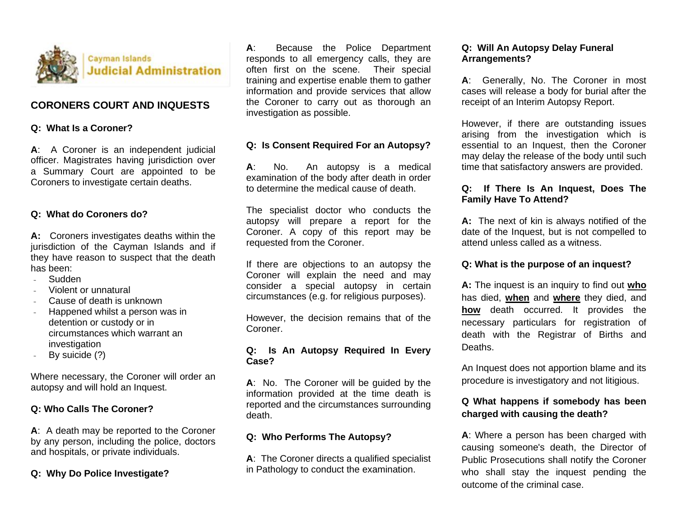

## **CORONERS COURT AND INQUESTS**

## **Q: What Is a Coroner?**

**A**: A Coroner is an independent judicial officer. Magistrates having jurisdiction over a Summary Court are appointed to be Coroners to investigate certain deaths.

#### **Q: What do Coroners do?**

**A:** Coroners investigates deaths within the jurisdiction of the Cayman Islands and if they have reason to suspect that the death has been:

- Sudden
- Violent or unnatural
- Cause of death is unknown
- Happened whilst a person was in detention or custody or in circumstances which warrant an investigation
- By suicide (?)

Where necessary, the Coroner will order an autopsy and will hold an Inquest.

#### **Q: Who Calls The Coroner?**

**A**: A death may be reported to the Coroner by any person, including the police, doctors and hospitals, or private individuals.

#### **Q: Why Do Police Investigate?**

**A**: Because the Police Department responds to all emergency calls, they are often first on the scene. Their special training and expertise enable them to gather information and provide services that allow the Coroner to carry out as thorough an investigation as possible.

#### **Q: Is Consent Required For an Autopsy?**

**A**: No. An autopsy is a medical examination of the body after death in order to determine the medical cause of death.

The specialist doctor who conducts the autopsy will prepare a report for the Coroner. A copy of this report may be requested from the Coroner.

If there are objections to an autopsy the Coroner will explain the need and may consider a special autopsy in certain circumstances (e.g. for religious purposes).

However, the decision remains that of the Coroner.

## **Q: Is An Autopsy Required In Every Case?**

**A**: No. The Coroner will be guided by the information provided at the time death is reported and the circumstances surrounding death.

## **Q: Who Performs The Autopsy?**

**A**: The Coroner directs a qualified specialist in Pathology to conduct the examination.

## **Q: Will An Autopsy Delay Funeral Arrangements?**

**A**: Generally, No. The Coroner in most cases will release a body for burial after the receipt of an Interim Autopsy Report.

However, if there are outstanding issues arising from the investigation which is essential to an Inquest, then the Coroner may delay the release of the body until such time that satisfactory answers are provided.

## **Q: If There Is An Inquest, Does The Family Have To Attend?**

**A:** The next of kin is always notified of the date of the Inquest, but is not compelled to attend unless called as a witness.

#### **Q: What is the purpose of an inquest?**

**A:** The inquest is an inquiry to find out **who** has died, **when** and **where** they died, and **how** death occurred. It provides the necessary particulars for registration of death with the Registrar of Births and Deaths.

An Inquest does not apportion blame and its procedure is investigatory and not litigious.

# **Q What happens if somebody has been charged with causing the death?**

**A**: Where a person has been charged with causing someone's death, the Director of Public Prosecutions shall notify the Coroner who shall stay the inquest pending the outcome of the criminal case.